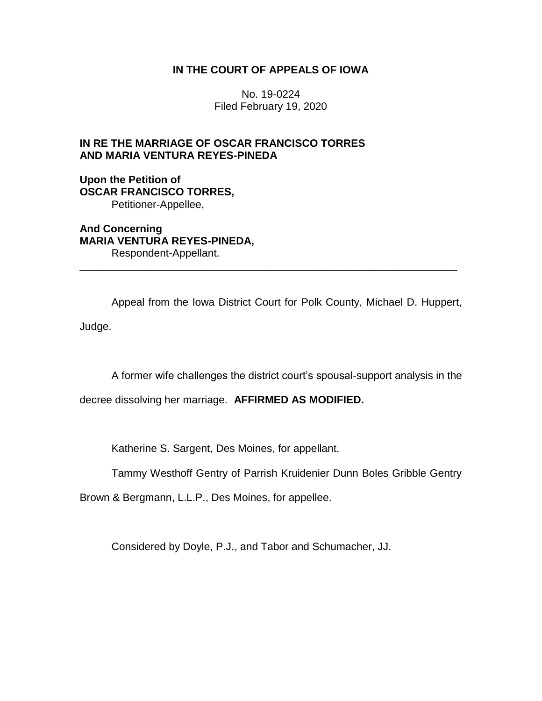## **IN THE COURT OF APPEALS OF IOWA**

No. 19-0224 Filed February 19, 2020

# **IN RE THE MARRIAGE OF OSCAR FRANCISCO TORRES AND MARIA VENTURA REYES-PINEDA**

**Upon the Petition of OSCAR FRANCISCO TORRES,** Petitioner-Appellee,

**And Concerning MARIA VENTURA REYES-PINEDA,** Respondent-Appellant.

Appeal from the Iowa District Court for Polk County, Michael D. Huppert, Judge.

\_\_\_\_\_\_\_\_\_\_\_\_\_\_\_\_\_\_\_\_\_\_\_\_\_\_\_\_\_\_\_\_\_\_\_\_\_\_\_\_\_\_\_\_\_\_\_\_\_\_\_\_\_\_\_\_\_\_\_\_\_\_\_\_

A former wife challenges the district court's spousal-support analysis in the

decree dissolving her marriage. **AFFIRMED AS MODIFIED.**

Katherine S. Sargent, Des Moines, for appellant.

Tammy Westhoff Gentry of Parrish Kruidenier Dunn Boles Gribble Gentry

Brown & Bergmann, L.L.P., Des Moines, for appellee.

Considered by Doyle, P.J., and Tabor and Schumacher, JJ.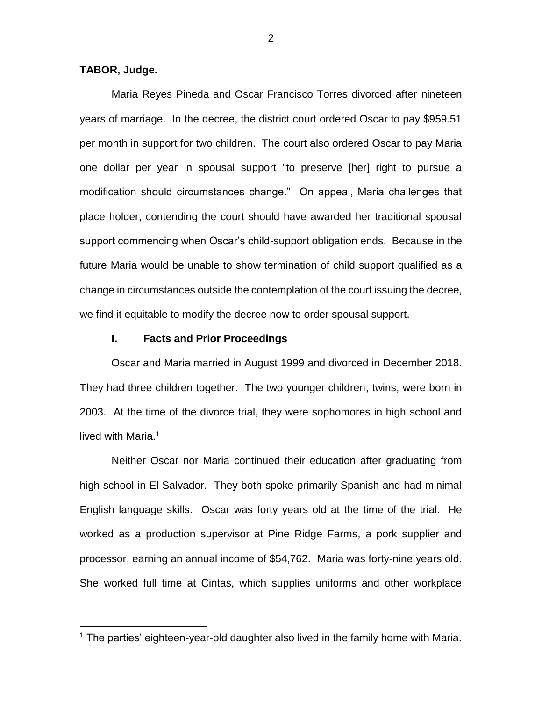### **TABOR, Judge.**

 $\overline{a}$ 

Maria Reyes Pineda and Oscar Francisco Torres divorced after nineteen years of marriage. In the decree, the district court ordered Oscar to pay \$959.51 per month in support for two children. The court also ordered Oscar to pay Maria one dollar per year in spousal support "to preserve [her] right to pursue a modification should circumstances change." On appeal, Maria challenges that place holder, contending the court should have awarded her traditional spousal support commencing when Oscar's child-support obligation ends. Because in the future Maria would be unable to show termination of child support qualified as a change in circumstances outside the contemplation of the court issuing the decree, we find it equitable to modify the decree now to order spousal support.

### **I. Facts and Prior Proceedings**

Oscar and Maria married in August 1999 and divorced in December 2018. They had three children together. The two younger children, twins, were born in 2003. At the time of the divorce trial, they were sophomores in high school and lived with Maria.<sup>1</sup>

Neither Oscar nor Maria continued their education after graduating from high school in El Salvador. They both spoke primarily Spanish and had minimal English language skills. Oscar was forty years old at the time of the trial. He worked as a production supervisor at Pine Ridge Farms, a pork supplier and processor, earning an annual income of \$54,762. Maria was forty-nine years old. She worked full time at Cintas, which supplies uniforms and other workplace

<sup>&</sup>lt;sup>1</sup> The parties' eighteen-year-old daughter also lived in the family home with Maria.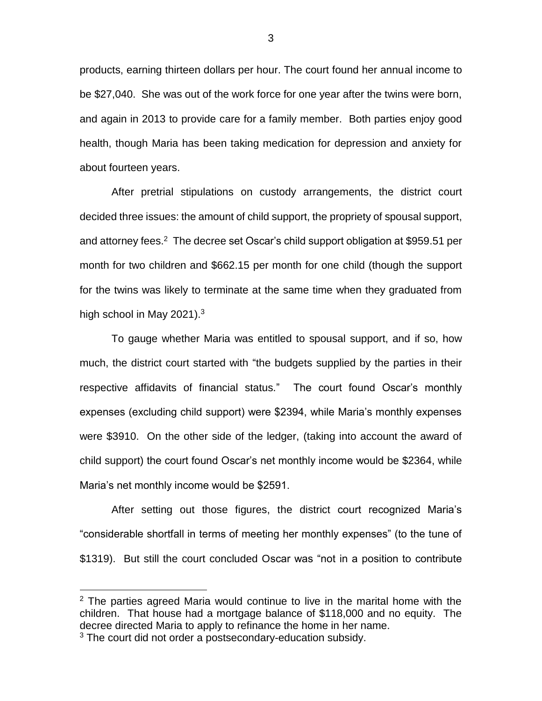products, earning thirteen dollars per hour. The court found her annual income to be \$27,040. She was out of the work force for one year after the twins were born, and again in 2013 to provide care for a family member. Both parties enjoy good health, though Maria has been taking medication for depression and anxiety for about fourteen years.

After pretrial stipulations on custody arrangements, the district court decided three issues: the amount of child support, the propriety of spousal support, and attorney fees.<sup>2</sup> The decree set Oscar's child support obligation at \$959.51 per month for two children and \$662.15 per month for one child (though the support for the twins was likely to terminate at the same time when they graduated from high school in May 2021).<sup>3</sup>

To gauge whether Maria was entitled to spousal support, and if so, how much, the district court started with "the budgets supplied by the parties in their respective affidavits of financial status." The court found Oscar's monthly expenses (excluding child support) were \$2394, while Maria's monthly expenses were \$3910. On the other side of the ledger, (taking into account the award of child support) the court found Oscar's net monthly income would be \$2364, while Maria's net monthly income would be \$2591.

After setting out those figures, the district court recognized Maria's "considerable shortfall in terms of meeting her monthly expenses" (to the tune of \$1319). But still the court concluded Oscar was "not in a position to contribute

 $\overline{a}$ 

 $2$  The parties agreed Maria would continue to live in the marital home with the children. That house had a mortgage balance of \$118,000 and no equity. The decree directed Maria to apply to refinance the home in her name. <sup>3</sup> The court did not order a postsecondary-education subsidy.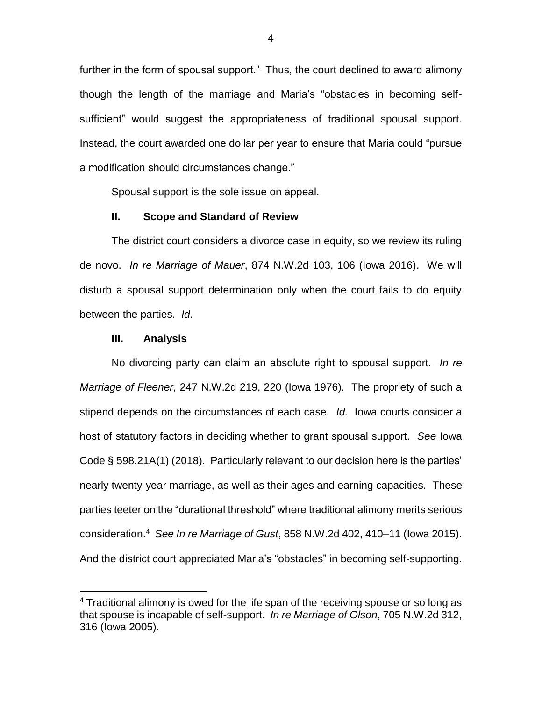further in the form of spousal support." Thus, the court declined to award alimony though the length of the marriage and Maria's "obstacles in becoming selfsufficient" would suggest the appropriateness of traditional spousal support. Instead, the court awarded one dollar per year to ensure that Maria could "pursue a modification should circumstances change."

Spousal support is the sole issue on appeal.

#### **II. Scope and Standard of Review**

The district court considers a divorce case in equity, so we review its ruling de novo. *In re Marriage of Mauer*, 874 N.W.2d 103, 106 (Iowa 2016). We will disturb a spousal support determination only when the court fails to do equity between the parties. *Id*.

#### **III. Analysis**

 $\overline{a}$ 

No divorcing party can claim an absolute right to spousal support. *In re Marriage of Fleener,* 247 N.W.2d 219, 220 (Iowa 1976). The propriety of such a stipend depends on the circumstances of each case. *Id.* Iowa courts consider a host of statutory factors in deciding whether to grant spousal support. *See* Iowa Code § 598.21A(1) (2018). Particularly relevant to our decision here is the parties' nearly twenty-year marriage, as well as their ages and earning capacities. These parties teeter on the "durational threshold" where traditional alimony merits serious consideration.<sup>4</sup> *See In re Marriage of Gust*, 858 N.W.2d 402, 410–11 (Iowa 2015). And the district court appreciated Maria's "obstacles" in becoming self-supporting.

<sup>&</sup>lt;sup>4</sup> Traditional alimony is owed for the life span of the receiving spouse or so long as that spouse is incapable of self-support. *In re Marriage of Olson*, 705 N.W.2d 312, 316 (Iowa 2005).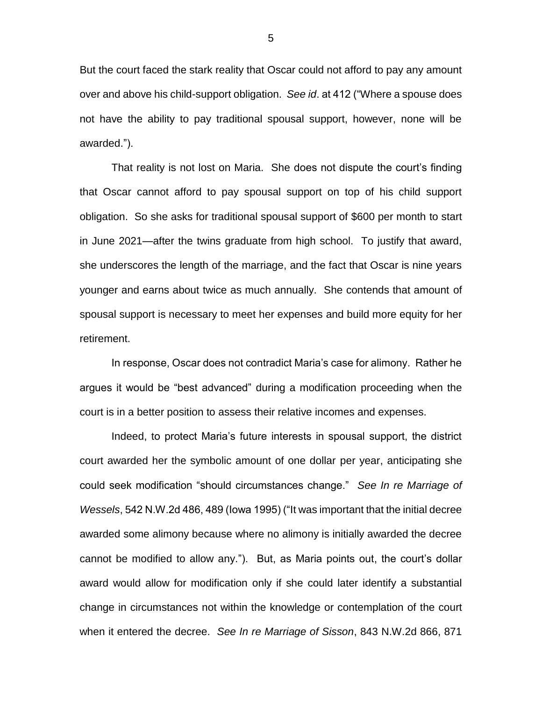But the court faced the stark reality that Oscar could not afford to pay any amount over and above his child-support obligation. *See id*. at 412 ("Where a spouse does not have the ability to pay traditional spousal support, however, none will be awarded.").

That reality is not lost on Maria. She does not dispute the court's finding that Oscar cannot afford to pay spousal support on top of his child support obligation. So she asks for traditional spousal support of \$600 per month to start in June 2021—after the twins graduate from high school. To justify that award, she underscores the length of the marriage, and the fact that Oscar is nine years younger and earns about twice as much annually. She contends that amount of spousal support is necessary to meet her expenses and build more equity for her retirement.

In response, Oscar does not contradict Maria's case for alimony. Rather he argues it would be "best advanced" during a modification proceeding when the court is in a better position to assess their relative incomes and expenses.

Indeed, to protect Maria's future interests in spousal support, the district court awarded her the symbolic amount of one dollar per year, anticipating she could seek modification "should circumstances change." *See In re Marriage of Wessels*, 542 N.W.2d 486, 489 (Iowa 1995) ("It was important that the initial decree awarded some alimony because where no alimony is initially awarded the decree cannot be modified to allow any."). But, as Maria points out, the court's dollar award would allow for modification only if she could later identify a substantial change in circumstances not within the knowledge or contemplation of the court when it entered the decree. *See In re Marriage of Sisson*, 843 N.W.2d 866, 871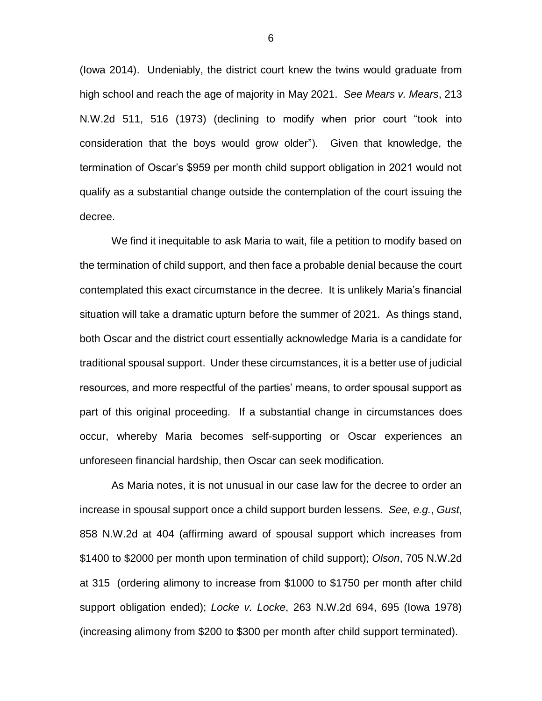(Iowa 2014). Undeniably, the district court knew the twins would graduate from high school and reach the age of majority in May 2021. *See Mears v. Mears*, 213 N.W.2d 511, 516 (1973) (declining to modify when prior court "took into consideration that the boys would grow older"). Given that knowledge, the termination of Oscar's \$959 per month child support obligation in 2021 would not qualify as a substantial change outside the contemplation of the court issuing the decree.

We find it inequitable to ask Maria to wait, file a petition to modify based on the termination of child support, and then face a probable denial because the court contemplated this exact circumstance in the decree. It is unlikely Maria's financial situation will take a dramatic upturn before the summer of 2021. As things stand, both Oscar and the district court essentially acknowledge Maria is a candidate for traditional spousal support. Under these circumstances, it is a better use of judicial resources, and more respectful of the parties' means, to order spousal support as part of this original proceeding. If a substantial change in circumstances does occur, whereby Maria becomes self-supporting or Oscar experiences an unforeseen financial hardship, then Oscar can seek modification.

As Maria notes, it is not unusual in our case law for the decree to order an increase in spousal support once a child support burden lessens. *See, e.g.*, *Gust*, 858 N.W.2d at 404 (affirming award of spousal support which increases from \$1400 to \$2000 per month upon termination of child support); *Olson*, 705 N.W.2d at 315 (ordering alimony to increase from \$1000 to \$1750 per month after child support obligation ended); *Locke v. Locke*, 263 N.W.2d 694, 695 (Iowa 1978) (increasing alimony from \$200 to \$300 per month after child support terminated).

6